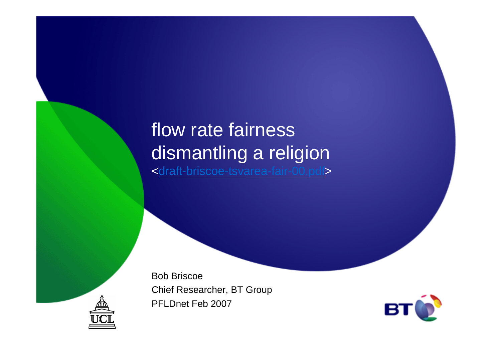## flow rate fairness dismantling a religion<draft-briscoe-tsvarea-fair-00.pdf>

Bob BriscoeChief Researcher, BT GroupPFLDnet Feb 2007



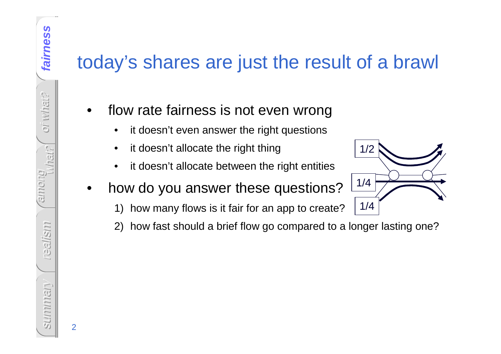## today's shares are just the result of a brawl

- • flow rate fairness is not even wrong
	- •it doesn't even answer the right questions
	- •it doesn't allocate the right thing
	- •it doesn't allocate between the right entities
- • how do you answer these questions?
	- 1) how many flows is it fair for an app to create?
	- 2) how fast should a brief flow go compared to a longer lasting one?

1/2

1/4

1/4

what? among realism Summariany summary

2

fairness

**fairness**

oi what?

oi what?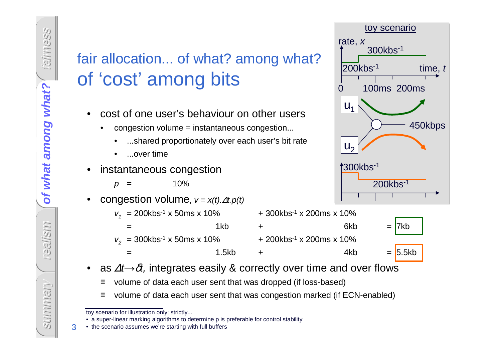## fair allocation... of what? among what?of 'cost' among bits

- • cost of one user's behaviour on other users
	- • congestion volume = instantaneous congestion...
		- ...shared proportionately over each user's bit rat e
		- •...over time
- • instantaneous congestion
	- $p = 10\%$
- •congestion volume,  $v = x(t) \Delta t. p(t)$ 
	- -
	-



- 
- $\bullet$ as  $\Delta t \rightarrow \delta t$ , integrates easily & correctly over time and over flows
	- ≡ volume of data each user sent that was dropped (if loss-based)
	- ≡volume of data each user sent that was congestion marked (if ECN-enabled)

• a super-linear marking algorithms to determine p is preferable for control stability

= 1.5kb + 4kb = 5.5kb



3

toy scenario for illustration only; strictly...

<sup>•</sup> the scenario assumes we're starting with full buffers